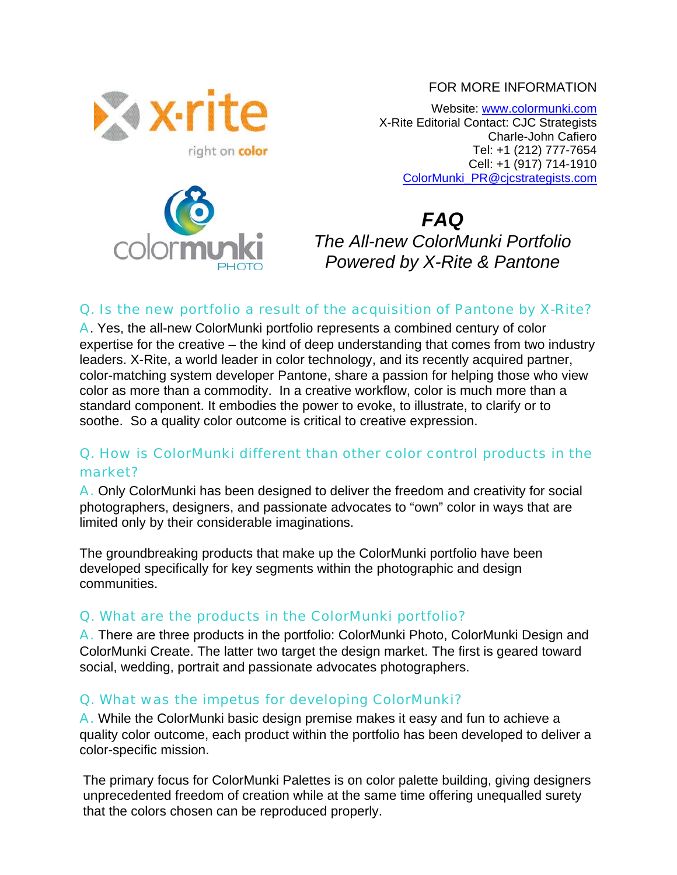#### FOR MORE INFORMATION



Website: [www.colormunki.com](http://www.colormunki.com/) X-Rite Editorial Contact: CJC Strategists Charle-John Cafiero Tel: +1 (212) 777-7654 Cell: +1 (917) 714-1910 [ColorMunki\\_PR@cjcstrategists.com](mailto:ColorMunki_PR@cjcstrategists.com)



*FAQ The All-new ColorMunki Portfolio Powered by X-Rite & Pantone*

#### Q. Is the new portfolio a result of the acquisition of Pantone by X-Rite?

A. Yes, the all-new ColorMunki portfolio represents a combined century of color expertise for the creative – the kind of deep understanding that comes from two industry leaders. X-Rite, a world leader in color technology, and its recently acquired partner, color-matching system developer Pantone, share a passion for helping those who view color as more than a commodity. In a creative workflow, color is much more than a standard component. It embodies the power to evoke, to illustrate, to clarify or to soothe. So a quality color outcome is critical to creative expression.

# Q. How is ColorMunki different than other color control products in the market?

A. Only ColorMunki has been designed to deliver the freedom and creativity for social photographers, designers, and passionate advocates to "own" color in ways that are limited only by their considerable imaginations.

The groundbreaking products that make up the ColorMunki portfolio have been developed specifically for key segments within the photographic and design communities.

# Q. What are the products in the ColorMunki portfolio?

A. There are three products in the portfolio: ColorMunki Photo, ColorMunki Design and ColorMunki Create. The latter two target the design market. The first is geared toward social, wedding, portrait and passionate advocates photographers.

# Q. What was the impetus for developing ColorMunki?

A. While the ColorMunki basic design premise makes it easy and fun to achieve a quality color outcome, each product within the portfolio has been developed to deliver a color-specific mission.

The primary focus for ColorMunki Palettes is on color palette building, giving designers unprecedented freedom of creation while at the same time offering unequalled surety that the colors chosen can be reproduced properly.